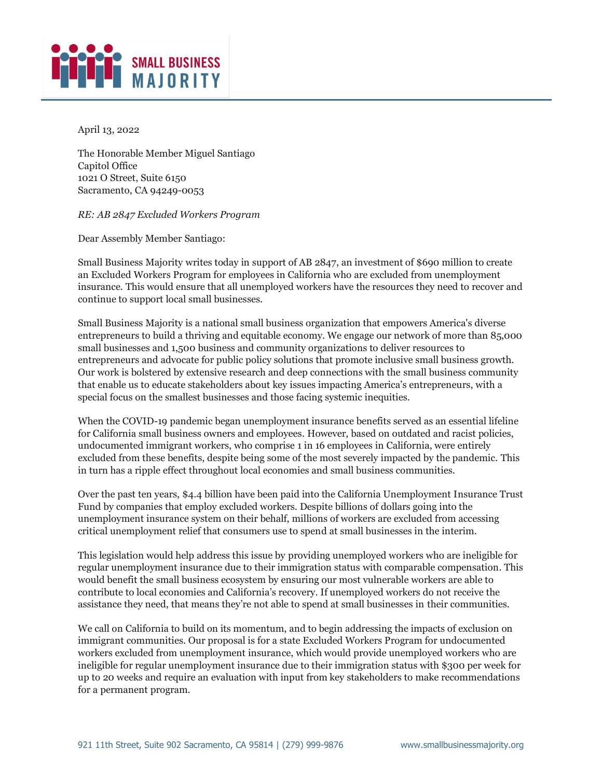

April 13, 2022

The Honorable Member Miguel Santiago Capitol Office 1021 O Street, Suite 6150 Sacramento, CA 94249-0053

## *RE: AB 2847 Excluded Workers Program*

Dear Assembly Member Santiago:

Small Business Majority writes today in support of AB 2847, an investment of \$690 million to create an Excluded Workers Program for employees in California who are excluded from unemployment insurance. This would ensure that all unemployed workers have the resources they need to recover and continue to support local small businesses.

Small Business Majority is a national small business organization that empowers America's diverse entrepreneurs to build a thriving and equitable economy. We engage our network of more than 85,000 small businesses and 1,500 business and community organizations to deliver resources to entrepreneurs and advocate for public policy solutions that promote inclusive small business growth. Our work is bolstered by extensive research and deep connections with the small business community that enable us to educate stakeholders about key issues impacting America's entrepreneurs, with a special focus on the smallest businesses and those facing systemic inequities.

When the COVID-19 pandemic began unemployment insurance benefits served as an essential lifeline for California small business owners and employees. However, based on outdated and racist policies, undocumented immigrant workers, who comprise 1 in 16 employees in California, were entirely excluded from these benefits, despite being some of the most severely impacted by the pandemic. This in turn has a ripple effect throughout local economies and small business communities.

Over the past ten years, \$4.4 billion have been paid into the California Unemployment Insurance Trust Fund by companies that employ excluded workers. Despite billions of dollars going into the unemployment insurance system on their behalf, millions of workers are excluded from accessing critical unemployment relief that consumers use to spend at small businesses in the interim.

This legislation would help address this issue by providing unemployed workers who are ineligible for regular unemployment insurance due to their immigration status with comparable compensation. This would benefit the small business ecosystem by ensuring our most vulnerable workers are able to contribute to local economies and California's recovery. If unemployed workers do not receive the assistance they need, that means they're not able to spend at small businesses in their communities.

We call on California to build on its momentum, and to begin addressing the impacts of exclusion on immigrant communities. Our proposal is for a state Excluded Workers Program for undocumented workers excluded from unemployment insurance, which would provide unemployed workers who are ineligible for regular unemployment insurance due to their immigration status with \$300 per week for up to 20 weeks and require an evaluation with input from key stakeholders to make recommendations for a permanent program.